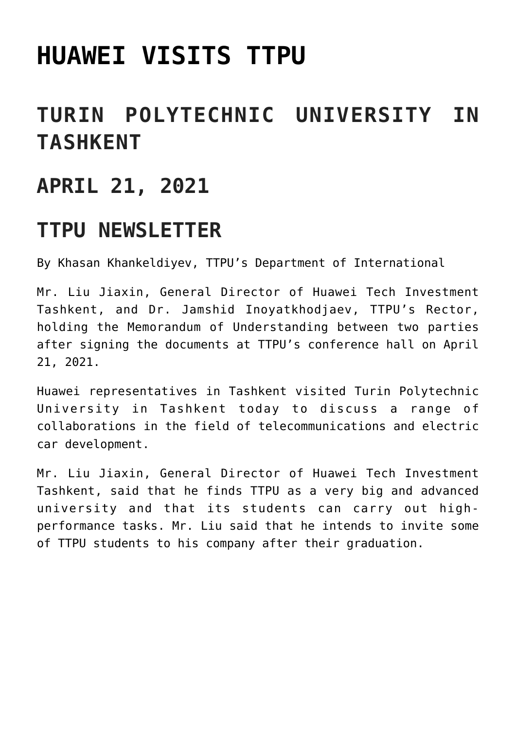# **[HUAWEI VISITS TTPU](https://polito.uz/14304/)**

### **TURIN POLYTECHNIC UNIVERSITY IN TASHKENT**

#### **APRIL 21, 2021**

#### **TTPU NEWSLETTER**

By Khasan Khankeldiyev, TTPU's Department of International

Mr. Liu Jiaxin, General Director of Huawei Tech Investment Tashkent, and Dr. Jamshid Inoyatkhodjaev, TTPU's Rector, holding the Memorandum of Understanding between two parties after signing the documents at TTPU's conference hall on April 21, 2021.

Huawei representatives in Tashkent visited Turin Polytechnic University in Tashkent today to discuss a range of collaborations in the field of telecommunications and electric car development.

Mr. Liu Jiaxin, General Director of Huawei Tech Investment Tashkent, said that he finds TTPU as a very big and advanced university and that its students can carry out highperformance tasks. Mr. Liu said that he intends to invite some of TTPU students to his company after their graduation.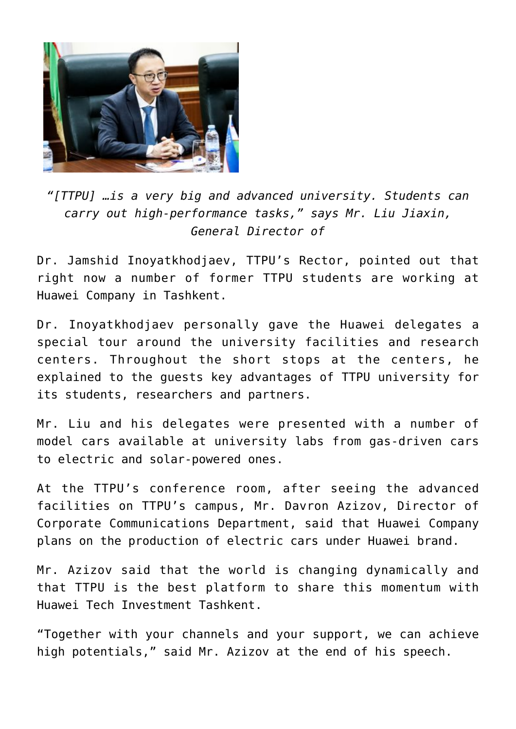

*"[TTPU] …is a very big and advanced university. Students can carry out high-performance tasks," says Mr. Liu Jiaxin, General Director of*

Dr. Jamshid Inoyatkhodjaev, TTPU's Rector, pointed out that right now a number of former TTPU students are working at Huawei Company in Tashkent.

Dr. Inoyatkhodjaev personally gave the Huawei delegates a special tour around the university facilities and research centers. Throughout the short stops at the centers, he explained to the guests key advantages of TTPU university for its students, researchers and partners.

Mr. Liu and his delegates were presented with a number of model cars available at university labs from gas-driven cars to electric and solar-powered ones.

At the TTPU's conference room, after seeing the advanced facilities on TTPU's campus, Mr. Davron Azizov, Director of Corporate Communications Department, said that Huawei Company plans on the production of electric cars under Huawei brand.

Mr. Azizov said that the world is changing dynamically and that TTPU is the best platform to share this momentum with Huawei Tech Investment Tashkent.

"Together with your channels and your support, we can achieve high potentials," said Mr. Azizov at the end of his speech.